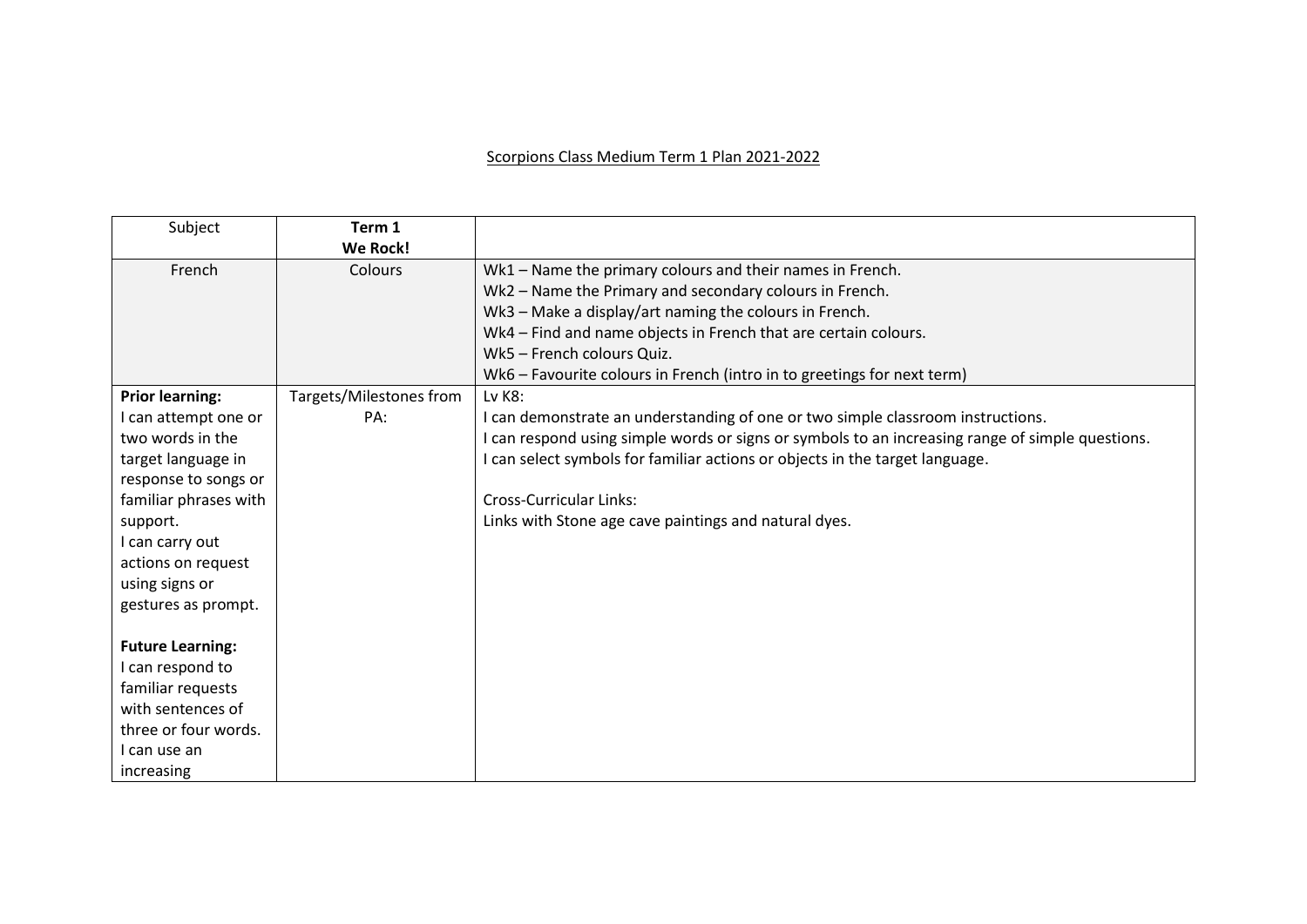## Scorpions Class Medium Term 1 Plan 2021-2022

| Subject                 | Term 1                  |                                                                                                  |
|-------------------------|-------------------------|--------------------------------------------------------------------------------------------------|
|                         | <b>We Rock!</b>         |                                                                                                  |
| French                  | Colours                 | Wk1 – Name the primary colours and their names in French.                                        |
|                         |                         | Wk2 - Name the Primary and secondary colours in French.                                          |
|                         |                         | Wk3 - Make a display/art naming the colours in French.                                           |
|                         |                         | Wk4 - Find and name objects in French that are certain colours.                                  |
|                         |                         | Wk5 - French colours Quiz.                                                                       |
|                         |                         | Wk6 - Favourite colours in French (intro in to greetings for next term)                          |
| <b>Prior learning:</b>  | Targets/Milestones from | Lv K8:                                                                                           |
| I can attempt one or    | PA:                     | I can demonstrate an understanding of one or two simple classroom instructions.                  |
| two words in the        |                         | I can respond using simple words or signs or symbols to an increasing range of simple questions. |
| target language in      |                         | I can select symbols for familiar actions or objects in the target language.                     |
| response to songs or    |                         |                                                                                                  |
| familiar phrases with   |                         | <b>Cross-Curricular Links:</b>                                                                   |
| support.                |                         | Links with Stone age cave paintings and natural dyes.                                            |
| I can carry out         |                         |                                                                                                  |
| actions on request      |                         |                                                                                                  |
| using signs or          |                         |                                                                                                  |
| gestures as prompt.     |                         |                                                                                                  |
|                         |                         |                                                                                                  |
| <b>Future Learning:</b> |                         |                                                                                                  |
| I can respond to        |                         |                                                                                                  |
| familiar requests       |                         |                                                                                                  |
| with sentences of       |                         |                                                                                                  |
| three or four words.    |                         |                                                                                                  |
| I can use an            |                         |                                                                                                  |
| increasing              |                         |                                                                                                  |